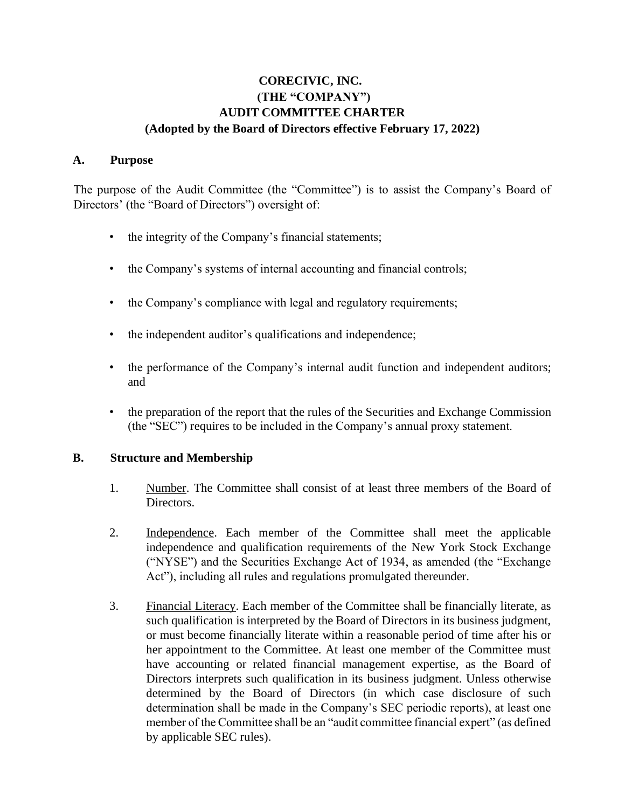# **CORECIVIC, INC. (THE "COMPANY") AUDIT COMMITTEE CHARTER (Adopted by the Board of Directors effective February 17, 2022)**

### **A. Purpose**

The purpose of the Audit Committee (the "Committee") is to assist the Company's Board of Directors' (the "Board of Directors") oversight of:

- the integrity of the Company's financial statements;
- the Company's systems of internal accounting and financial controls;
- the Company's compliance with legal and regulatory requirements;
- the independent auditor's qualifications and independence;
- the performance of the Company's internal audit function and independent auditors; and
- the preparation of the report that the rules of the Securities and Exchange Commission (the "SEC") requires to be included in the Company's annual proxy statement.

## **B. Structure and Membership**

- 1. Number. The Committee shall consist of at least three members of the Board of Directors.
- 2. Independence. Each member of the Committee shall meet the applicable independence and qualification requirements of the New York Stock Exchange ("NYSE") and the Securities Exchange Act of 1934, as amended (the "Exchange Act"), including all rules and regulations promulgated thereunder.
- 3. Financial Literacy. Each member of the Committee shall be financially literate, as such qualification is interpreted by the Board of Directors in its business judgment, or must become financially literate within a reasonable period of time after his or her appointment to the Committee. At least one member of the Committee must have accounting or related financial management expertise, as the Board of Directors interprets such qualification in its business judgment. Unless otherwise determined by the Board of Directors (in which case disclosure of such determination shall be made in the Company's SEC periodic reports), at least one member of the Committee shall be an "audit committee financial expert" (as defined by applicable SEC rules).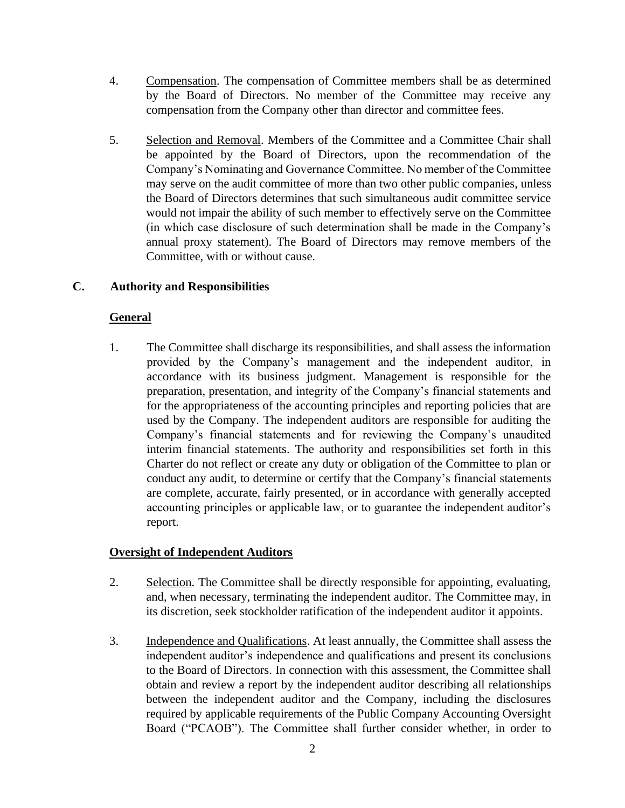- 4. Compensation. The compensation of Committee members shall be as determined by the Board of Directors. No member of the Committee may receive any compensation from the Company other than director and committee fees.
- 5. Selection and Removal. Members of the Committee and a Committee Chair shall be appointed by the Board of Directors, upon the recommendation of the Company's Nominating and Governance Committee. No member of the Committee may serve on the audit committee of more than two other public companies, unless the Board of Directors determines that such simultaneous audit committee service would not impair the ability of such member to effectively serve on the Committee (in which case disclosure of such determination shall be made in the Company's annual proxy statement). The Board of Directors may remove members of the Committee, with or without cause.

# **C. Authority and Responsibilities**

# **General**

1. The Committee shall discharge its responsibilities, and shall assess the information provided by the Company's management and the independent auditor, in accordance with its business judgment. Management is responsible for the preparation, presentation, and integrity of the Company's financial statements and for the appropriateness of the accounting principles and reporting policies that are used by the Company. The independent auditors are responsible for auditing the Company's financial statements and for reviewing the Company's unaudited interim financial statements. The authority and responsibilities set forth in this Charter do not reflect or create any duty or obligation of the Committee to plan or conduct any audit, to determine or certify that the Company's financial statements are complete, accurate, fairly presented, or in accordance with generally accepted accounting principles or applicable law, or to guarantee the independent auditor's report.

## **Oversight of Independent Auditors**

- 2. Selection. The Committee shall be directly responsible for appointing, evaluating, and, when necessary, terminating the independent auditor. The Committee may, in its discretion, seek stockholder ratification of the independent auditor it appoints.
- 3. Independence and Qualifications. At least annually, the Committee shall assess the independent auditor's independence and qualifications and present its conclusions to the Board of Directors. In connection with this assessment, the Committee shall obtain and review a report by the independent auditor describing all relationships between the independent auditor and the Company, including the disclosures required by applicable requirements of the Public Company Accounting Oversight Board ("PCAOB"). The Committee shall further consider whether, in order to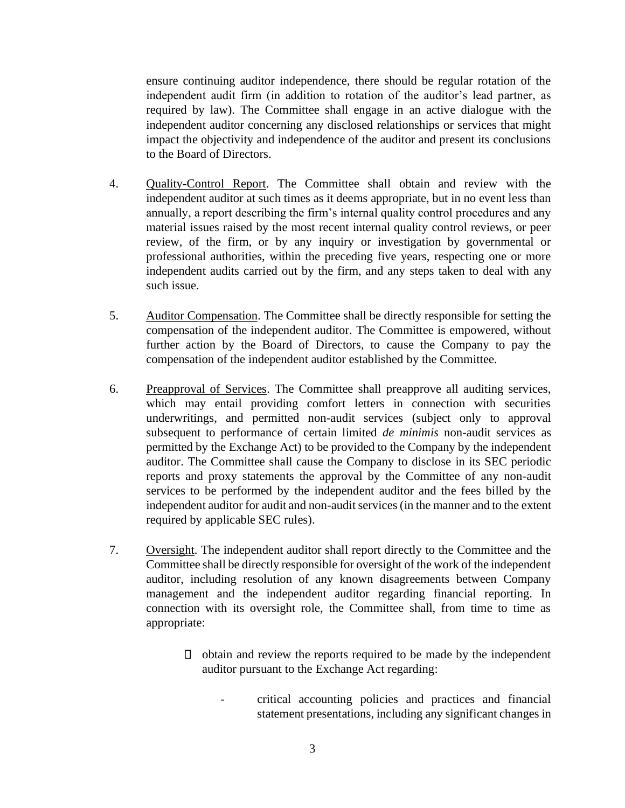ensure continuing auditor independence, there should be regular rotation of the independent audit firm (in addition to rotation of the auditor's lead partner, as required by law). The Committee shall engage in an active dialogue with the independent auditor concerning any disclosed relationships or services that might impact the objectivity and independence of the auditor and present its conclusions to the Board of Directors.

- 4. Quality-Control Report. The Committee shall obtain and review with the independent auditor at such times as it deems appropriate, but in no event less than annually, a report describing the firm's internal quality control procedures and any material issues raised by the most recent internal quality control reviews, or peer review, of the firm, or by any inquiry or investigation by governmental or professional authorities, within the preceding five years, respecting one or more independent audits carried out by the firm, and any steps taken to deal with any such issue.
- 5. Auditor Compensation. The Committee shall be directly responsible for setting the compensation of the independent auditor. The Committee is empowered, without further action by the Board of Directors, to cause the Company to pay the compensation of the independent auditor established by the Committee.
- 6. Preapproval of Services. The Committee shall preapprove all auditing services, which may entail providing comfort letters in connection with securities underwritings, and permitted non-audit services (subject only to approval subsequent to performance of certain limited *de minimis* non-audit services as permitted by the Exchange Act) to be provided to the Company by the independent auditor. The Committee shall cause the Company to disclose in its SEC periodic reports and proxy statements the approval by the Committee of any non-audit services to be performed by the independent auditor and the fees billed by the independent auditor for audit and non-audit services (in the manner and to the extent required by applicable SEC rules).
- 7. Oversight. The independent auditor shall report directly to the Committee and the Committee shall be directly responsible for oversight of the work of the independent auditor, including resolution of any known disagreements between Company management and the independent auditor regarding financial reporting. In connection with its oversight role, the Committee shall, from time to time as appropriate:
	- $\Box$  obtain and review the reports required to be made by the independent auditor pursuant to the Exchange Act regarding:
		- critical accounting policies and practices and financial statement presentations, including any significant changes in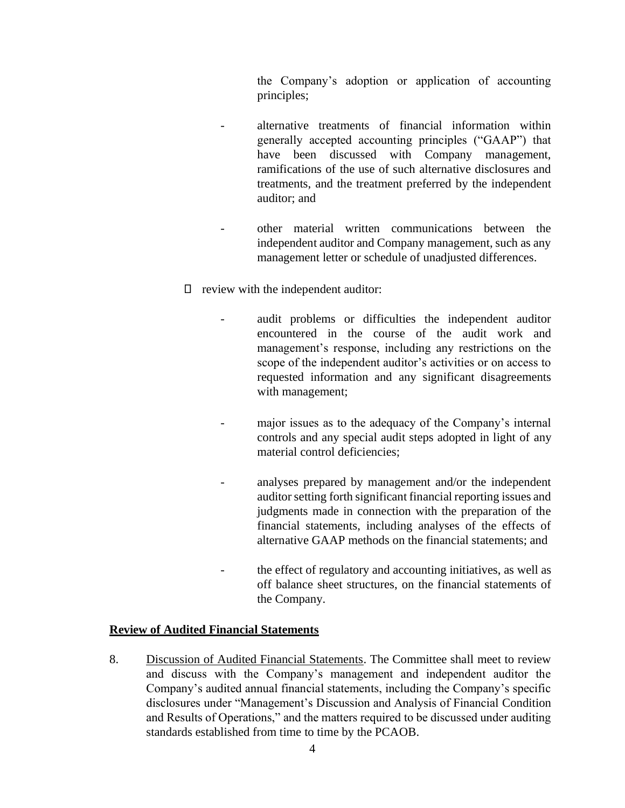the Company's adoption or application of accounting principles;

- alternative treatments of financial information within generally accepted accounting principles ("GAAP") that have been discussed with Company management, ramifications of the use of such alternative disclosures and treatments, and the treatment preferred by the independent auditor; and
- other material written communications between the independent auditor and Company management, such as any management letter or schedule of unadjusted differences.
- $\Box$  review with the independent auditor:
	- audit problems or difficulties the independent auditor encountered in the course of the audit work and management's response, including any restrictions on the scope of the independent auditor's activities or on access to requested information and any significant disagreements with management;
	- major issues as to the adequacy of the Company's internal controls and any special audit steps adopted in light of any material control deficiencies;
	- analyses prepared by management and/or the independent auditor setting forth significant financial reporting issues and judgments made in connection with the preparation of the financial statements, including analyses of the effects of alternative GAAP methods on the financial statements; and
	- the effect of regulatory and accounting initiatives, as well as off balance sheet structures, on the financial statements of the Company.

#### **Review of Audited Financial Statements**

8. Discussion of Audited Financial Statements. The Committee shall meet to review and discuss with the Company's management and independent auditor the Company's audited annual financial statements, including the Company's specific disclosures under "Management's Discussion and Analysis of Financial Condition and Results of Operations," and the matters required to be discussed under auditing standards established from time to time by the PCAOB.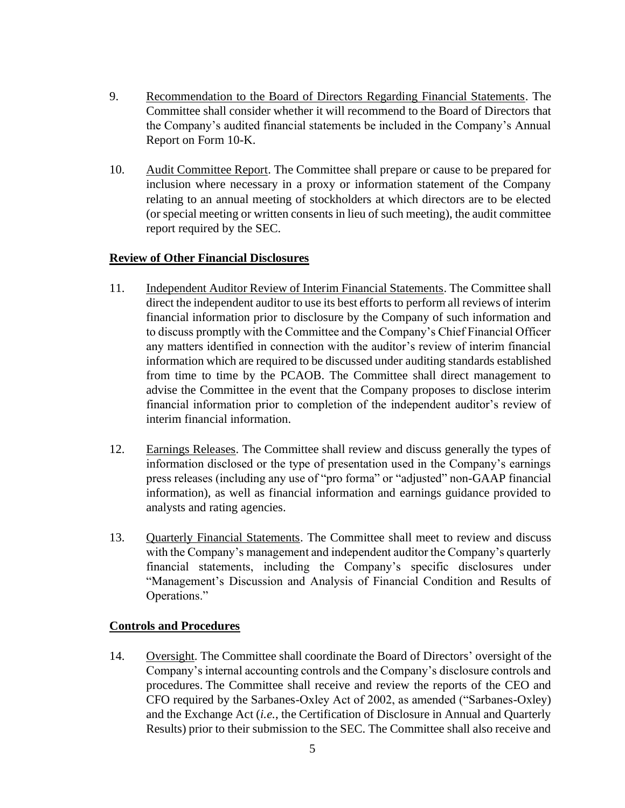- 9. Recommendation to the Board of Directors Regarding Financial Statements. The Committee shall consider whether it will recommend to the Board of Directors that the Company's audited financial statements be included in the Company's Annual Report on Form 10-K.
- 10. Audit Committee Report. The Committee shall prepare or cause to be prepared for inclusion where necessary in a proxy or information statement of the Company relating to an annual meeting of stockholders at which directors are to be elected (or special meeting or written consents in lieu of such meeting), the audit committee report required by the SEC.

### **Review of Other Financial Disclosures**

- 11. Independent Auditor Review of Interim Financial Statements. The Committee shall direct the independent auditor to use its best efforts to perform all reviews of interim financial information prior to disclosure by the Company of such information and to discuss promptly with the Committee and the Company's Chief Financial Officer any matters identified in connection with the auditor's review of interim financial information which are required to be discussed under auditing standards established from time to time by the PCAOB. The Committee shall direct management to advise the Committee in the event that the Company proposes to disclose interim financial information prior to completion of the independent auditor's review of interim financial information.
- 12. Earnings Releases. The Committee shall review and discuss generally the types of information disclosed or the type of presentation used in the Company's earnings press releases (including any use of "pro forma" or "adjusted" non-GAAP financial information), as well as financial information and earnings guidance provided to analysts and rating agencies.
- 13. Quarterly Financial Statements. The Committee shall meet to review and discuss with the Company's management and independent auditor the Company's quarterly financial statements, including the Company's specific disclosures under "Management's Discussion and Analysis of Financial Condition and Results of Operations."

## **Controls and Procedures**

14. Oversight. The Committee shall coordinate the Board of Directors' oversight of the Company's internal accounting controls and the Company's disclosure controls and procedures. The Committee shall receive and review the reports of the CEO and CFO required by the Sarbanes-Oxley Act of 2002, as amended ("Sarbanes-Oxley) and the Exchange Act (*i.e.*, the Certification of Disclosure in Annual and Quarterly Results) prior to their submission to the SEC. The Committee shall also receive and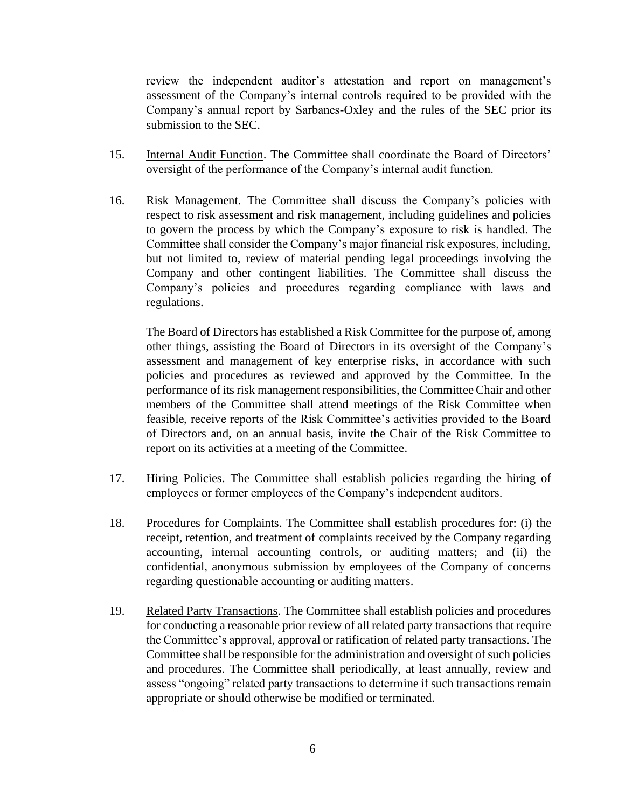review the independent auditor's attestation and report on management's assessment of the Company's internal controls required to be provided with the Company's annual report by Sarbanes-Oxley and the rules of the SEC prior its submission to the SEC.

- 15. Internal Audit Function. The Committee shall coordinate the Board of Directors' oversight of the performance of the Company's internal audit function.
- 16. Risk Management. The Committee shall discuss the Company's policies with respect to risk assessment and risk management, including guidelines and policies to govern the process by which the Company's exposure to risk is handled. The Committee shall consider the Company's major financial risk exposures, including, but not limited to, review of material pending legal proceedings involving the Company and other contingent liabilities. The Committee shall discuss the Company's policies and procedures regarding compliance with laws and regulations.

The Board of Directors has established a Risk Committee for the purpose of, among other things, assisting the Board of Directors in its oversight of the Company's assessment and management of key enterprise risks, in accordance with such policies and procedures as reviewed and approved by the Committee. In the performance of its risk management responsibilities, the Committee Chair and other members of the Committee shall attend meetings of the Risk Committee when feasible, receive reports of the Risk Committee's activities provided to the Board of Directors and, on an annual basis, invite the Chair of the Risk Committee to report on its activities at a meeting of the Committee.

- 17. Hiring Policies. The Committee shall establish policies regarding the hiring of employees or former employees of the Company's independent auditors.
- 18. Procedures for Complaints. The Committee shall establish procedures for: (i) the receipt, retention, and treatment of complaints received by the Company regarding accounting, internal accounting controls, or auditing matters; and (ii) the confidential, anonymous submission by employees of the Company of concerns regarding questionable accounting or auditing matters.
- 19. Related Party Transactions. The Committee shall establish policies and procedures for conducting a reasonable prior review of all related party transactions that require the Committee's approval, approval or ratification of related party transactions. The Committee shall be responsible for the administration and oversight of such policies and procedures. The Committee shall periodically, at least annually, review and assess "ongoing" related party transactions to determine if such transactions remain appropriate or should otherwise be modified or terminated.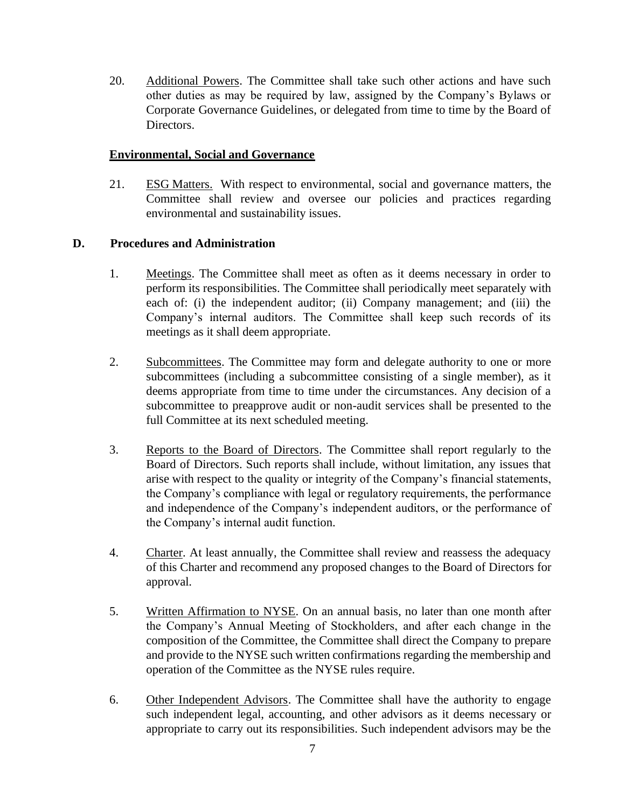20. Additional Powers. The Committee shall take such other actions and have such other duties as may be required by law, assigned by the Company's Bylaws or Corporate Governance Guidelines, or delegated from time to time by the Board of Directors.

### **Environmental, Social and Governance**

21. ESG Matters. With respect to environmental, social and governance matters, the Committee shall review and oversee our policies and practices regarding environmental and sustainability issues.

## **D. Procedures and Administration**

- 1. Meetings. The Committee shall meet as often as it deems necessary in order to perform its responsibilities. The Committee shall periodically meet separately with each of: (i) the independent auditor; (ii) Company management; and (iii) the Company's internal auditors. The Committee shall keep such records of its meetings as it shall deem appropriate.
- 2. Subcommittees. The Committee may form and delegate authority to one or more subcommittees (including a subcommittee consisting of a single member), as it deems appropriate from time to time under the circumstances. Any decision of a subcommittee to preapprove audit or non-audit services shall be presented to the full Committee at its next scheduled meeting.
- 3. Reports to the Board of Directors. The Committee shall report regularly to the Board of Directors. Such reports shall include, without limitation, any issues that arise with respect to the quality or integrity of the Company's financial statements, the Company's compliance with legal or regulatory requirements, the performance and independence of the Company's independent auditors, or the performance of the Company's internal audit function.
- 4. Charter. At least annually, the Committee shall review and reassess the adequacy of this Charter and recommend any proposed changes to the Board of Directors for approval.
- 5. Written Affirmation to NYSE. On an annual basis, no later than one month after the Company's Annual Meeting of Stockholders, and after each change in the composition of the Committee, the Committee shall direct the Company to prepare and provide to the NYSE such written confirmations regarding the membership and operation of the Committee as the NYSE rules require.
- 6. Other Independent Advisors. The Committee shall have the authority to engage such independent legal, accounting, and other advisors as it deems necessary or appropriate to carry out its responsibilities. Such independent advisors may be the